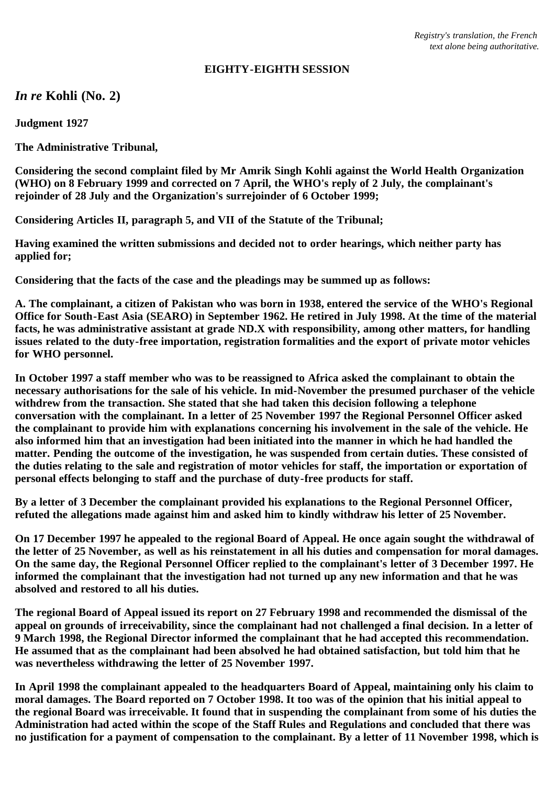## **EIGHTY-EIGHTH SESSION**

*In re* **Kohli (No. 2)**

**Judgment 1927**

**The Administrative Tribunal,**

**Considering the second complaint filed by Mr Amrik Singh Kohli against the World Health Organization (WHO) on 8 February 1999 and corrected on 7 April, the WHO's reply of 2 July, the complainant's rejoinder of 28 July and the Organization's surrejoinder of 6 October 1999;**

**Considering Articles II, paragraph 5, and VII of the Statute of the Tribunal;**

**Having examined the written submissions and decided not to order hearings, which neither party has applied for;**

**Considering that the facts of the case and the pleadings may be summed up as follows:**

**A. The complainant, a citizen of Pakistan who was born in 1938, entered the service of the WHO's Regional Office for South-East Asia (SEARO) in September 1962. He retired in July 1998. At the time of the material facts, he was administrative assistant at grade ND.X with responsibility, among other matters, for handling issues related to the duty-free importation, registration formalities and the export of private motor vehicles for WHO personnel.**

**In October 1997 a staff member who was to be reassigned to Africa asked the complainant to obtain the necessary authorisations for the sale of his vehicle. In mid-November the presumed purchaser of the vehicle withdrew from the transaction. She stated that she had taken this decision following a telephone conversation with the complainant. In a letter of 25 November 1997 the Regional Personnel Officer asked the complainant to provide him with explanations concerning his involvement in the sale of the vehicle. He also informed him that an investigation had been initiated into the manner in which he had handled the matter. Pending the outcome of the investigation, he was suspended from certain duties. These consisted of the duties relating to the sale and registration of motor vehicles for staff, the importation or exportation of personal effects belonging to staff and the purchase of duty-free products for staff.**

**By a letter of 3 December the complainant provided his explanations to the Regional Personnel Officer, refuted the allegations made against him and asked him to kindly withdraw his letter of 25 November.**

**On 17 December 1997 he appealed to the regional Board of Appeal. He once again sought the withdrawal of the letter of 25 November, as well as his reinstatement in all his duties and compensation for moral damages. On the same day, the Regional Personnel Officer replied to the complainant's letter of 3 December 1997. He informed the complainant that the investigation had not turned up any new information and that he was absolved and restored to all his duties.**

**The regional Board of Appeal issued its report on 27 February 1998 and recommended the dismissal of the appeal on grounds of irreceivability, since the complainant had not challenged a final decision. In a letter of 9 March 1998, the Regional Director informed the complainant that he had accepted this recommendation. He assumed that as the complainant had been absolved he had obtained satisfaction, but told him that he was nevertheless withdrawing the letter of 25 November 1997.**

**In April 1998 the complainant appealed to the headquarters Board of Appeal, maintaining only his claim to moral damages. The Board reported on 7 October 1998. It too was of the opinion that his initial appeal to the regional Board was irreceivable. It found that in suspending the complainant from some of his duties the Administration had acted within the scope of the Staff Rules and Regulations and concluded that there was no justification for a payment of compensation to the complainant. By a letter of 11 November 1998, which is**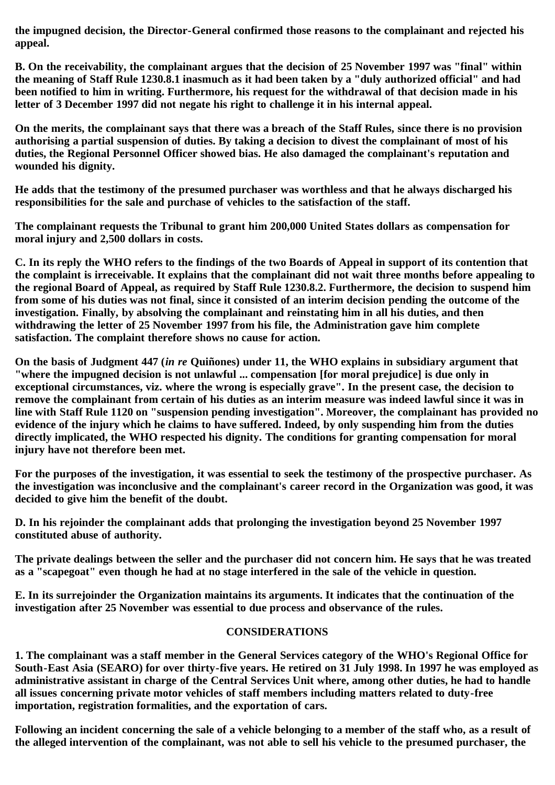**the impugned decision, the Director-General confirmed those reasons to the complainant and rejected his appeal.**

**B. On the receivability, the complainant argues that the decision of 25 November 1997 was "final" within the meaning of Staff Rule 1230.8.1 inasmuch as it had been taken by a "duly authorized official" and had been notified to him in writing. Furthermore, his request for the withdrawal of that decision made in his letter of 3 December 1997 did not negate his right to challenge it in his internal appeal.**

**On the merits, the complainant says that there was a breach of the Staff Rules, since there is no provision authorising a partial suspension of duties. By taking a decision to divest the complainant of most of his duties, the Regional Personnel Officer showed bias. He also damaged the complainant's reputation and wounded his dignity.**

**He adds that the testimony of the presumed purchaser was worthless and that he always discharged his responsibilities for the sale and purchase of vehicles to the satisfaction of the staff.**

**The complainant requests the Tribunal to grant him 200,000 United States dollars as compensation for moral injury and 2,500 dollars in costs.**

**C. In its reply the WHO refers to the findings of the two Boards of Appeal in support of its contention that the complaint is irreceivable. It explains that the complainant did not wait three months before appealing to the regional Board of Appeal, as required by Staff Rule 1230.8.2. Furthermore, the decision to suspend him from some of his duties was not final, since it consisted of an interim decision pending the outcome of the investigation. Finally, by absolving the complainant and reinstating him in all his duties, and then withdrawing the letter of 25 November 1997 from his file, the Administration gave him complete satisfaction. The complaint therefore shows no cause for action.**

**On the basis of Judgment 447 (***in re* **Quiñones) under 11, the WHO explains in subsidiary argument that "where the impugned decision is not unlawful ... compensation [for moral prejudice] is due only in exceptional circumstances, viz. where the wrong is especially grave". In the present case, the decision to remove the complainant from certain of his duties as an interim measure was indeed lawful since it was in line with Staff Rule 1120 on "suspension pending investigation". Moreover, the complainant has provided no evidence of the injury which he claims to have suffered. Indeed, by only suspending him from the duties directly implicated, the WHO respected his dignity. The conditions for granting compensation for moral injury have not therefore been met.**

**For the purposes of the investigation, it was essential to seek the testimony of the prospective purchaser. As the investigation was inconclusive and the complainant's career record in the Organization was good, it was decided to give him the benefit of the doubt.**

**D. In his rejoinder the complainant adds that prolonging the investigation beyond 25 November 1997 constituted abuse of authority.**

**The private dealings between the seller and the purchaser did not concern him. He says that he was treated as a "scapegoat" even though he had at no stage interfered in the sale of the vehicle in question.**

**E. In its surrejoinder the Organization maintains its arguments. It indicates that the continuation of the investigation after 25 November was essential to due process and observance of the rules.**

## **CONSIDERATIONS**

**1. The complainant was a staff member in the General Services category of the WHO's Regional Office for South-East Asia (SEARO) for over thirty-five years. He retired on 31 July 1998. In 1997 he was employed as administrative assistant in charge of the Central Services Unit where, among other duties, he had to handle all issues concerning private motor vehicles of staff members including matters related to duty-free importation, registration formalities, and the exportation of cars.**

**Following an incident concerning the sale of a vehicle belonging to a member of the staff who, as a result of the alleged intervention of the complainant, was not able to sell his vehicle to the presumed purchaser, the**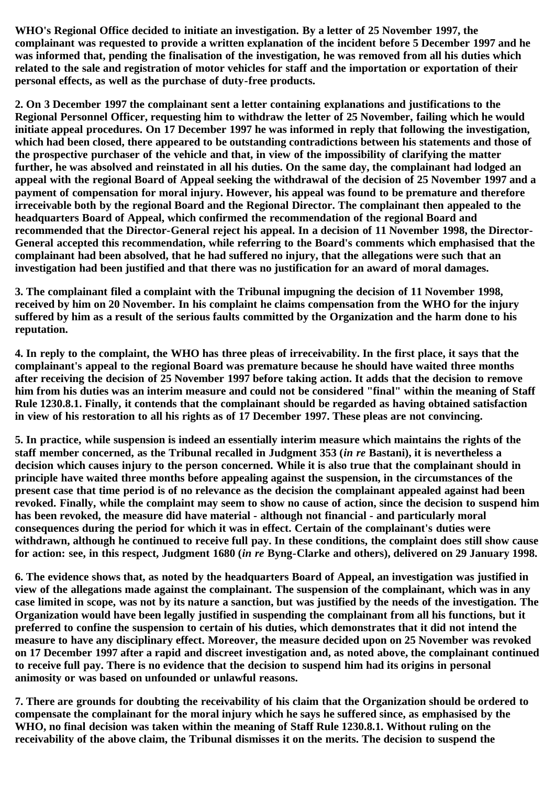**WHO's Regional Office decided to initiate an investigation. By a letter of 25 November 1997, the complainant was requested to provide a written explanation of the incident before 5 December 1997 and he was informed that, pending the finalisation of the investigation, he was removed from all his duties which related to the sale and registration of motor vehicles for staff and the importation or exportation of their personal effects, as well as the purchase of duty-free products.**

**2. On 3 December 1997 the complainant sent a letter containing explanations and justifications to the Regional Personnel Officer, requesting him to withdraw the letter of 25 November, failing which he would initiate appeal procedures. On 17 December 1997 he was informed in reply that following the investigation, which had been closed, there appeared to be outstanding contradictions between his statements and those of the prospective purchaser of the vehicle and that, in view of the impossibility of clarifying the matter further, he was absolved and reinstated in all his duties. On the same day, the complainant had lodged an appeal with the regional Board of Appeal seeking the withdrawal of the decision of 25 November 1997 and a payment of compensation for moral injury. However, his appeal was found to be premature and therefore irreceivable both by the regional Board and the Regional Director. The complainant then appealed to the headquarters Board of Appeal, which confirmed the recommendation of the regional Board and recommended that the Director-General reject his appeal. In a decision of 11 November 1998, the Director-General accepted this recommendation, while referring to the Board's comments which emphasised that the complainant had been absolved, that he had suffered no injury, that the allegations were such that an investigation had been justified and that there was no justification for an award of moral damages.**

**3. The complainant filed a complaint with the Tribunal impugning the decision of 11 November 1998, received by him on 20 November. In his complaint he claims compensation from the WHO for the injury suffered by him as a result of the serious faults committed by the Organization and the harm done to his reputation.**

**4. In reply to the complaint, the WHO has three pleas of irreceivability. In the first place, it says that the complainant's appeal to the regional Board was premature because he should have waited three months after receiving the decision of 25 November 1997 before taking action. It adds that the decision to remove him from his duties was an interim measure and could not be considered "final" within the meaning of Staff Rule 1230.8.1. Finally, it contends that the complainant should be regarded as having obtained satisfaction in view of his restoration to all his rights as of 17 December 1997. These pleas are not convincing.**

**5. In practice, while suspension is indeed an essentially interim measure which maintains the rights of the staff member concerned, as the Tribunal recalled in Judgment 353 (***in re* **Bastani), it is nevertheless a decision which causes injury to the person concerned. While it is also true that the complainant should in principle have waited three months before appealing against the suspension, in the circumstances of the present case that time period is of no relevance as the decision the complainant appealed against had been revoked. Finally, while the complaint may seem to show no cause of action, since the decision to suspend him has been revoked, the measure did have material - although not financial - and particularly moral consequences during the period for which it was in effect. Certain of the complainant's duties were withdrawn, although he continued to receive full pay. In these conditions, the complaint does still show cause for action: see, in this respect, Judgment 1680 (***in re* **Byng-Clarke and others), delivered on 29 January 1998.**

**6. The evidence shows that, as noted by the headquarters Board of Appeal, an investigation was justified in view of the allegations made against the complainant. The suspension of the complainant, which was in any case limited in scope, was not by its nature a sanction, but was justified by the needs of the investigation. The Organization would have been legally justified in suspending the complainant from all his functions, but it preferred to confine the suspension to certain of his duties, which demonstrates that it did not intend the measure to have any disciplinary effect. Moreover, the measure decided upon on 25 November was revoked on 17 December 1997 after a rapid and discreet investigation and, as noted above, the complainant continued to receive full pay. There is no evidence that the decision to suspend him had its origins in personal animosity or was based on unfounded or unlawful reasons.**

**7. There are grounds for doubting the receivability of his claim that the Organization should be ordered to compensate the complainant for the moral injury which he says he suffered since, as emphasised by the WHO, no final decision was taken within the meaning of Staff Rule 1230.8.1. Without ruling on the receivability of the above claim, the Tribunal dismisses it on the merits. The decision to suspend the**